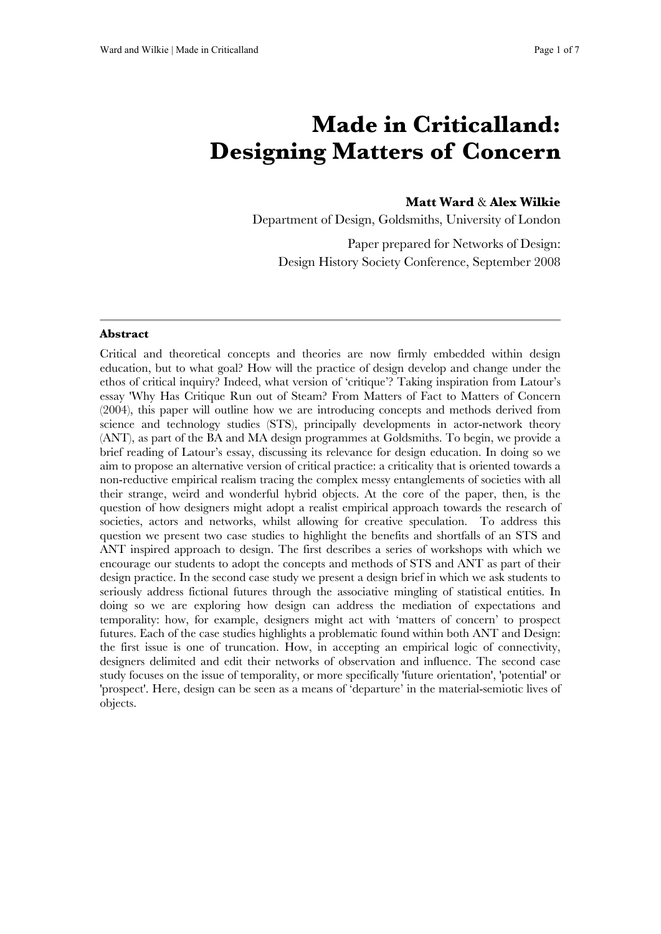# **Made in Criticalland: Designing Matters of Concern**

# **Matt Ward** & **Alex Wilkie**

Department of Design, Goldsmiths, University of London

Paper prepared for Networks of Design: Design History Society Conference, September 2008

#### **Abstract**

Critical and theoretical concepts and theories are now firmly embedded within design education, but to what goal? How will the practice of design develop and change under the ethos of critical inquiry? Indeed, what version of 'critique'? Taking inspiration from Latour's essay 'Why Has Critique Run out of Steam? From Matters of Fact to Matters of Concern (2004), this paper will outline how we are introducing concepts and methods derived from science and technology studies (STS), principally developments in actor-network theory (ANT), as part of the BA and MA design programmes at Goldsmiths. To begin, we provide a brief reading of Latour's essay, discussing its relevance for design education. In doing so we aim to propose an alternative version of critical practice: a criticality that is oriented towards a non-reductive empirical realism tracing the complex messy entanglements of societies with all their strange, weird and wonderful hybrid objects. At the core of the paper, then, is the question of how designers might adopt a realist empirical approach towards the research of societies, actors and networks, whilst allowing for creative speculation. To address this question we present two case studies to highlight the benefits and shortfalls of an STS and ANT inspired approach to design. The first describes a series of workshops with which we encourage our students to adopt the concepts and methods of STS and ANT as part of their design practice. In the second case study we present a design brief in which we ask students to seriously address fictional futures through the associative mingling of statistical entities. In doing so we are exploring how design can address the mediation of expectations and temporality: how, for example, designers might act with 'matters of concern' to prospect futures. Each of the case studies highlights a problematic found within both ANT and Design: the first issue is one of truncation. How, in accepting an empirical logic of connectivity, designers delimited and edit their networks of observation and influence. The second case study focuses on the issue of temporality, or more specifically 'future orientation', 'potential' or 'prospect'. Here, design can be seen as a means of 'departure' in the material-semiotic lives of objects.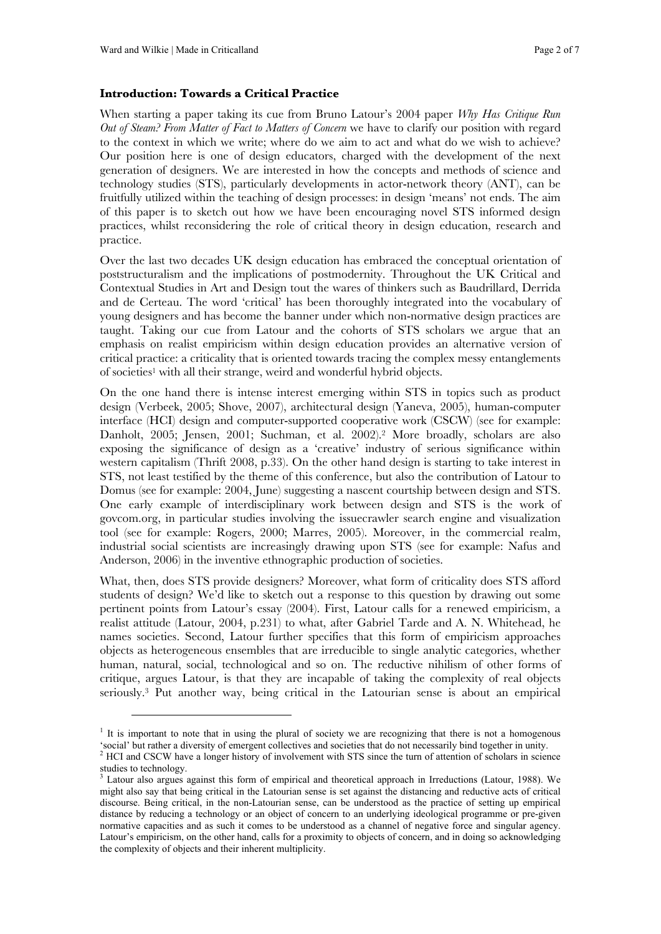$\overline{a}$ 

### **Introduction: Towards a Critical Practice**

When starting a paper taking its cue from Bruno Latour's 2004 paper *Why Has Critique Run Out of Steam? From Matter of Fact to Matters of Concern* we have to clarify our position with regard to the context in which we write; where do we aim to act and what do we wish to achieve? Our position here is one of design educators, charged with the development of the next generation of designers. We are interested in how the concepts and methods of science and technology studies (STS), particularly developments in actor-network theory (ANT), can be fruitfully utilized within the teaching of design processes: in design 'means' not ends. The aim of this paper is to sketch out how we have been encouraging novel STS informed design practices, whilst reconsidering the role of critical theory in design education, research and practice.

Over the last two decades UK design education has embraced the conceptual orientation of poststructuralism and the implications of postmodernity. Throughout the UK Critical and Contextual Studies in Art and Design tout the wares of thinkers such as Baudrillard, Derrida and de Certeau. The word 'critical' has been thoroughly integrated into the vocabulary of young designers and has become the banner under which non-normative design practices are taught. Taking our cue from Latour and the cohorts of STS scholars we argue that an emphasis on realist empiricism within design education provides an alternative version of critical practice: a criticality that is oriented towards tracing the complex messy entanglements of societies<sup>1</sup> with all their strange, weird and wonderful hybrid objects.

On the one hand there is intense interest emerging within STS in topics such as product design (Verbeek, 2005; Shove, 2007), architectural design (Yaneva, 2005), human-computer interface (HCI) design and computer-supported cooperative work (CSCW) (see for example: Danholt, 2005; Jensen, 2001; Suchman, et al. 2002).2 More broadly, scholars are also exposing the significance of design as a 'creative' industry of serious significance within western capitalism (Thrift 2008, p.33). On the other hand design is starting to take interest in STS, not least testified by the theme of this conference, but also the contribution of Latour to Domus (see for example: 2004, June) suggesting a nascent courtship between design and STS. One early example of interdisciplinary work between design and STS is the work of govcom.org, in particular studies involving the issuecrawler search engine and visualization tool (see for example: Rogers, 2000; Marres, 2005). Moreover, in the commercial realm, industrial social scientists are increasingly drawing upon STS (see for example: Nafus and Anderson, 2006) in the inventive ethnographic production of societies.

What, then, does STS provide designers? Moreover, what form of criticality does STS afford students of design? We'd like to sketch out a response to this question by drawing out some pertinent points from Latour's essay (2004). First, Latour calls for a renewed empiricism, a realist attitude (Latour, 2004, p.231) to what, after Gabriel Tarde and A. N. Whitehead, he names societies. Second, Latour further specifies that this form of empiricism approaches objects as heterogeneous ensembles that are irreducible to single analytic categories, whether human, natural, social, technological and so on. The reductive nihilism of other forms of critique, argues Latour, is that they are incapable of taking the complexity of real objects seriously.3 Put another way, being critical in the Latourian sense is about an empirical

<sup>&</sup>lt;sup>1</sup> It is important to note that in using the plural of society we are recognizing that there is not a homogenous 'social' but rather a diversity of emergent collectives and societies that do not necessarily bind together in unity.

<sup>&</sup>lt;sup>2</sup> HCI and CSCW have a longer history of involvement with STS since the turn of attention of scholars in science studies to technology.

Latour also argues against this form of empirical and theoretical approach in Irreductions (Latour, 1988). We might also say that being critical in the Latourian sense is set against the distancing and reductive acts of critical discourse. Being critical, in the non-Latourian sense, can be understood as the practice of setting up empirical distance by reducing a technology or an object of concern to an underlying ideological programme or pre-given normative capacities and as such it comes to be understood as a channel of negative force and singular agency. Latour's empiricism, on the other hand, calls for a proximity to objects of concern, and in doing so acknowledging the complexity of objects and their inherent multiplicity.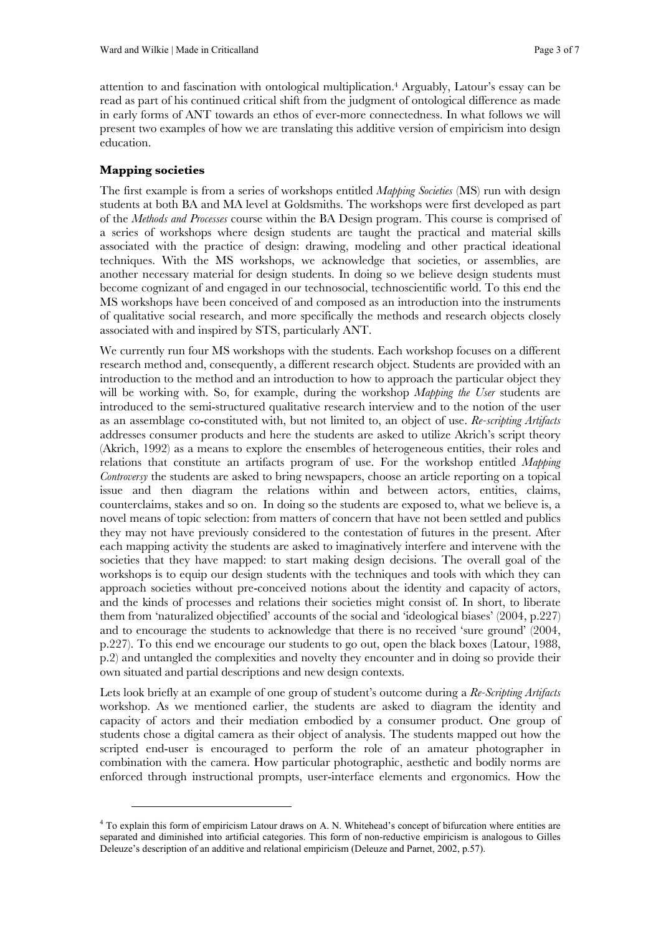attention to and fascination with ontological multiplication.4 Arguably, Latour's essay can be read as part of his continued critical shift from the judgment of ontological difference as made in early forms of ANT towards an ethos of ever-more connectedness. In what follows we will present two examples of how we are translating this additive version of empiricism into design education.

## **Mapping societies**

 $\overline{a}$ 

The first example is from a series of workshops entitled *Mapping Societies* (MS) run with design students at both BA and MA level at Goldsmiths. The workshops were first developed as part of the *Methods and Processes* course within the BA Design program. This course is comprised of a series of workshops where design students are taught the practical and material skills associated with the practice of design: drawing, modeling and other practical ideational techniques. With the MS workshops, we acknowledge that societies, or assemblies, are another necessary material for design students. In doing so we believe design students must become cognizant of and engaged in our technosocial, technoscientific world. To this end the MS workshops have been conceived of and composed as an introduction into the instruments of qualitative social research, and more specifically the methods and research objects closely associated with and inspired by STS, particularly ANT.

We currently run four MS workshops with the students. Each workshop focuses on a different research method and, consequently, a different research object. Students are provided with an introduction to the method and an introduction to how to approach the particular object they will be working with. So, for example, during the workshop *Mapping the User* students are introduced to the semi-structured qualitative research interview and to the notion of the user as an assemblage co-constituted with, but not limited to, an object of use. *Re-scripting Artifacts* addresses consumer products and here the students are asked to utilize Akrich's script theory (Akrich, 1992) as a means to explore the ensembles of heterogeneous entities, their roles and relations that constitute an artifacts program of use. For the workshop entitled *Mapping Controversy* the students are asked to bring newspapers, choose an article reporting on a topical issue and then diagram the relations within and between actors, entities, claims, counterclaims, stakes and so on. In doing so the students are exposed to, what we believe is, a novel means of topic selection: from matters of concern that have not been settled and publics they may not have previously considered to the contestation of futures in the present. After each mapping activity the students are asked to imaginatively interfere and intervene with the societies that they have mapped: to start making design decisions. The overall goal of the workshops is to equip our design students with the techniques and tools with which they can approach societies without pre-conceived notions about the identity and capacity of actors, and the kinds of processes and relations their societies might consist of. In short, to liberate them from 'naturalized objectified' accounts of the social and 'ideological biases' (2004, p.227) and to encourage the students to acknowledge that there is no received 'sure ground' (2004, p.227). To this end we encourage our students to go out, open the black boxes (Latour, 1988, p.2) and untangled the complexities and novelty they encounter and in doing so provide their own situated and partial descriptions and new design contexts.

Lets look briefly at an example of one group of student's outcome during a *Re-Scripting Artifacts*  workshop. As we mentioned earlier, the students are asked to diagram the identity and capacity of actors and their mediation embodied by a consumer product. One group of students chose a digital camera as their object of analysis. The students mapped out how the scripted end-user is encouraged to perform the role of an amateur photographer in combination with the camera. How particular photographic, aesthetic and bodily norms are enforced through instructional prompts, user-interface elements and ergonomics. How the

<sup>&</sup>lt;sup>4</sup> To explain this form of empiricism Latour draws on A. N. Whitehead's concept of bifurcation where entities are separated and diminished into artificial categories. This form of non-reductive empiricism is analogous to Gilles Deleuze's description of an additive and relational empiricism (Deleuze and Parnet, 2002, p.57).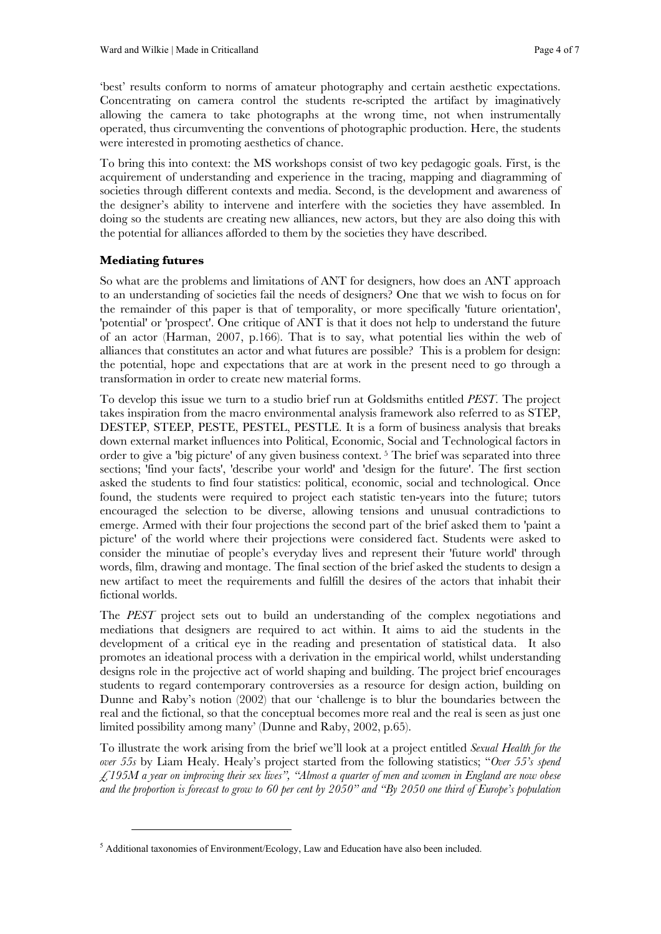'best' results conform to norms of amateur photography and certain aesthetic expectations. Concentrating on camera control the students re-scripted the artifact by imaginatively allowing the camera to take photographs at the wrong time, not when instrumentally operated, thus circumventing the conventions of photographic production. Here, the students were interested in promoting aesthetics of chance.

To bring this into context: the MS workshops consist of two key pedagogic goals. First, is the acquirement of understanding and experience in the tracing, mapping and diagramming of societies through different contexts and media. Second, is the development and awareness of the designer's ability to intervene and interfere with the societies they have assembled. In doing so the students are creating new alliances, new actors, but they are also doing this with the potential for alliances afforded to them by the societies they have described.

# **Mediating futures**

 $\overline{a}$ 

So what are the problems and limitations of ANT for designers, how does an ANT approach to an understanding of societies fail the needs of designers? One that we wish to focus on for the remainder of this paper is that of temporality, or more specifically 'future orientation', 'potential' or 'prospect'. One critique of ANT is that it does not help to understand the future of an actor (Harman, 2007, p.166). That is to say, what potential lies within the web of alliances that constitutes an actor and what futures are possible? This is a problem for design: the potential, hope and expectations that are at work in the present need to go through a transformation in order to create new material forms.

To develop this issue we turn to a studio brief run at Goldsmiths entitled *PEST*. The project takes inspiration from the macro environmental analysis framework also referred to as STEP, DESTEP, STEEP, PESTE, PESTEL, PESTLE. It is a form of business analysis that breaks down external market influences into Political, Economic, Social and Technological factors in order to give a 'big picture' of any given business context. 5 The brief was separated into three sections; 'find your facts', 'describe your world' and 'design for the future'. The first section asked the students to find four statistics: political, economic, social and technological. Once found, the students were required to project each statistic ten-years into the future; tutors encouraged the selection to be diverse, allowing tensions and unusual contradictions to emerge. Armed with their four projections the second part of the brief asked them to 'paint a picture' of the world where their projections were considered fact. Students were asked to consider the minutiae of people's everyday lives and represent their 'future world' through words, film, drawing and montage. The final section of the brief asked the students to design a new artifact to meet the requirements and fulfill the desires of the actors that inhabit their fictional worlds.

The *PEST* project sets out to build an understanding of the complex negotiations and mediations that designers are required to act within. It aims to aid the students in the development of a critical eye in the reading and presentation of statistical data. It also promotes an ideational process with a derivation in the empirical world, whilst understanding designs role in the projective act of world shaping and building. The project brief encourages students to regard contemporary controversies as a resource for design action, building on Dunne and Raby's notion (2002) that our 'challenge is to blur the boundaries between the real and the fictional, so that the conceptual becomes more real and the real is seen as just one limited possibility among many' (Dunne and Raby, 2002, p.65).

To illustrate the work arising from the brief we'll look at a project entitled *Sexual Health for the over 55s* by Liam Healy. Healy's project started from the following statistics; "*Over 55's spend £195M a year on improving their sex lives", "Almost a quarter of men and women in England are now obese and the proportion is forecast to grow to 60 per cent by 2050" and "By 2050 one third of Europe's population* 

<sup>&</sup>lt;sup>5</sup> Additional taxonomies of Environment/Ecology, Law and Education have also been included.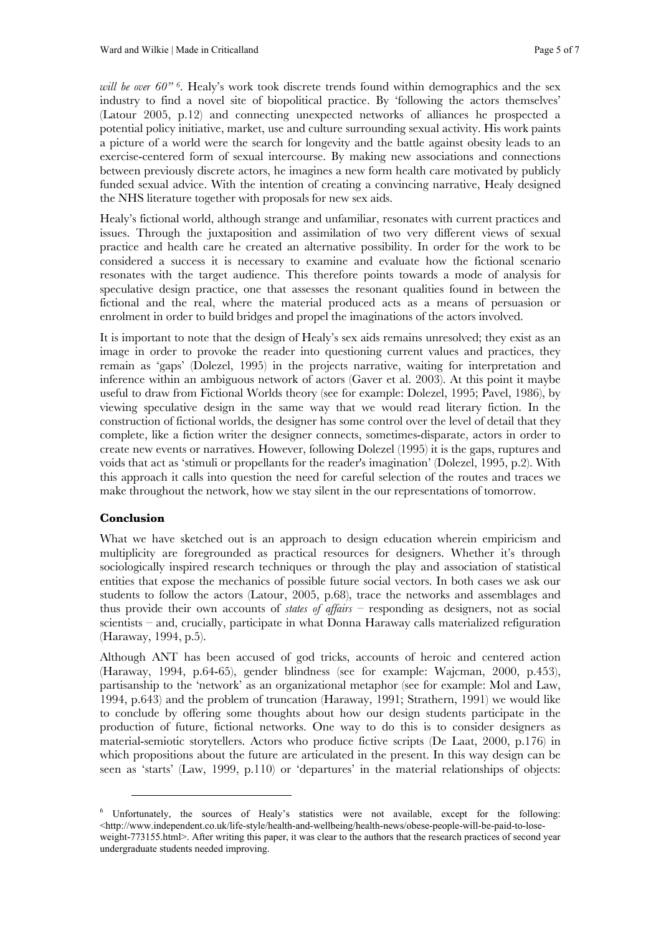*will be over 60" <sup>6</sup>*. Healy's work took discrete trends found within demographics and the sex industry to find a novel site of biopolitical practice. By 'following the actors themselves' (Latour 2005, p.12) and connecting unexpected networks of alliances he prospected a potential policy initiative, market, use and culture surrounding sexual activity. His work paints a picture of a world were the search for longevity and the battle against obesity leads to an exercise-centered form of sexual intercourse. By making new associations and connections between previously discrete actors, he imagines a new form health care motivated by publicly funded sexual advice. With the intention of creating a convincing narrative, Healy designed the NHS literature together with proposals for new sex aids.

Healy's fictional world, although strange and unfamiliar, resonates with current practices and issues. Through the juxtaposition and assimilation of two very different views of sexual practice and health care he created an alternative possibility. In order for the work to be considered a success it is necessary to examine and evaluate how the fictional scenario resonates with the target audience. This therefore points towards a mode of analysis for speculative design practice, one that assesses the resonant qualities found in between the fictional and the real, where the material produced acts as a means of persuasion or enrolment in order to build bridges and propel the imaginations of the actors involved.

It is important to note that the design of Healy's sex aids remains unresolved; they exist as an image in order to provoke the reader into questioning current values and practices, they remain as 'gaps' (Dolezel, 1995) in the projects narrative, waiting for interpretation and inference within an ambiguous network of actors (Gaver et al. 2003). At this point it maybe useful to draw from Fictional Worlds theory (see for example: Dolezel, 1995; Pavel, 1986), by viewing speculative design in the same way that we would read literary fiction. In the construction of fictional worlds, the designer has some control over the level of detail that they complete, like a fiction writer the designer connects, sometimes-disparate, actors in order to create new events or narratives. However, following Dolezel (1995) it is the gaps, ruptures and voids that act as 'stimuli or propellants for the reader's imagination' (Dolezel, 1995, p.2). With this approach it calls into question the need for careful selection of the routes and traces we make throughout the network, how we stay silent in the our representations of tomorrow.

### **Conclusion**

 $\overline{a}$ 

What we have sketched out is an approach to design education wherein empiricism and multiplicity are foregrounded as practical resources for designers. Whether it's through sociologically inspired research techniques or through the play and association of statistical entities that expose the mechanics of possible future social vectors. In both cases we ask our students to follow the actors (Latour, 2005, p.68), trace the networks and assemblages and thus provide their own accounts of *states of affairs* – responding as designers, not as social scientists – and, crucially, participate in what Donna Haraway calls materialized refiguration (Haraway, 1994, p.5).

Although ANT has been accused of god tricks, accounts of heroic and centered action (Haraway, 1994, p.64-65), gender blindness (see for example: Wajcman, 2000, p.453), partisanship to the 'network' as an organizational metaphor (see for example: Mol and Law, 1994, p.643) and the problem of truncation (Haraway, 1991; Strathern, 1991) we would like to conclude by offering some thoughts about how our design students participate in the production of future, fictional networks. One way to do this is to consider designers as material-semiotic storytellers. Actors who produce fictive scripts (De Laat, 2000, p.176) in which propositions about the future are articulated in the present. In this way design can be seen as 'starts' (Law, 1999, p.110) or 'departures' in the material relationships of objects:

<sup>&</sup>lt;sup>6</sup> Unfortunately, the sources of Healy's statistics were not available, except for the following: <http://www.independent.co.uk/life-style/health-and-wellbeing/health-news/obese-people-will-be-paid-to-loseweight-773155.html>. After writing this paper, it was clear to the authors that the research practices of second year undergraduate students needed improving.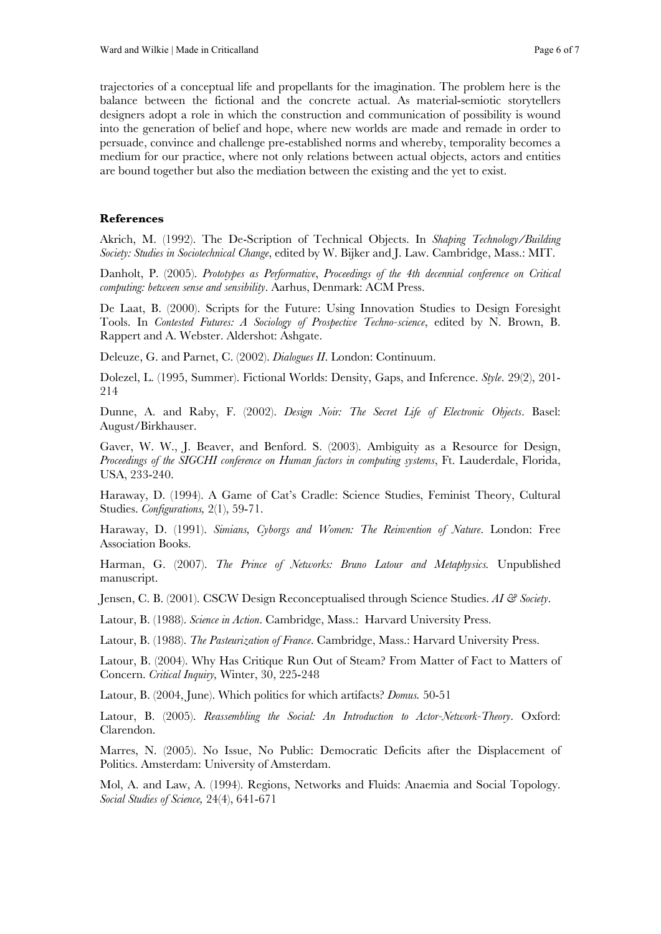trajectories of a conceptual life and propellants for the imagination. The problem here is the balance between the fictional and the concrete actual. As material-semiotic storytellers designers adopt a role in which the construction and communication of possibility is wound into the generation of belief and hope, where new worlds are made and remade in order to persuade, convince and challenge pre-established norms and whereby, temporality becomes a medium for our practice, where not only relations between actual objects, actors and entities are bound together but also the mediation between the existing and the yet to exist.

## **References**

Akrich, M. (1992). The De-Scription of Technical Objects. In *Shaping Technology/Building Society: Studies in Sociotechnical Change*, edited by W. Bijker and J. Law. Cambridge, Mass.: MIT.

Danholt, P. (2005). *Prototypes as Performative*, *Proceedings of the 4th decennial conference on Critical computing: between sense and sensibility*. Aarhus, Denmark: ACM Press.

De Laat, B. (2000). Scripts for the Future: Using Innovation Studies to Design Foresight Tools. In *Contested Futures: A Sociology of Prospective Techno-science*, edited by N. Brown, B. Rappert and A. Webster. Aldershot: Ashgate.

Deleuze, G. and Parnet, C. (2002). *Dialogues II*. London: Continuum.

Dolezel, L. (1995, Summer). Fictional Worlds: Density, Gaps, and Inference. *Style*. 29(2), 201- 214

Dunne, A. and Raby, F. (2002). *Design Noir: The Secret Life of Electronic Objects*. Basel: August/Birkhauser.

Gaver, W. W., J. Beaver, and Benford. S. (2003). Ambiguity as a Resource for Design, *Proceedings of the SIGCHI conference on Human factors in computing systems*, Ft. Lauderdale, Florida, USA, 233-240.

Haraway, D. (1994). A Game of Cat's Cradle: Science Studies, Feminist Theory, Cultural Studies. *Configurations,* 2(1), 59-71.

Haraway, D. (1991). *Simians, Cyborgs and Women: The Reinvention of Nature*. London: Free Association Books.

Harman, G. (2007). *The Prince of Networks: Bruno Latour and Metaphysics.* Unpublished manuscript.

Jensen, C. B. (2001). CSCW Design Reconceptualised through Science Studies. *AI & Society*.

Latour, B. (1988). *Science in Action*. Cambridge, Mass.: Harvard University Press.

Latour, B. (1988). *The Pasteurization of France*. Cambridge, Mass.: Harvard University Press.

Latour, B. (2004). Why Has Critique Run Out of Steam? From Matter of Fact to Matters of Concern. *Critical Inquiry,* Winter, 30, 225-248

Latour, B. (2004, June). Which politics for which artifacts? *Domus.* 50-51

Latour, B. (2005). *Reassembling the Social: An Introduction to Actor-Network-Theory*. Oxford: Clarendon.

Marres, N. (2005). No Issue, No Public: Democratic Deficits after the Displacement of Politics. Amsterdam: University of Amsterdam.

Mol, A. and Law, A. (1994). Regions, Networks and Fluids: Anaemia and Social Topology. *Social Studies of Science,* 24(4), 641-671